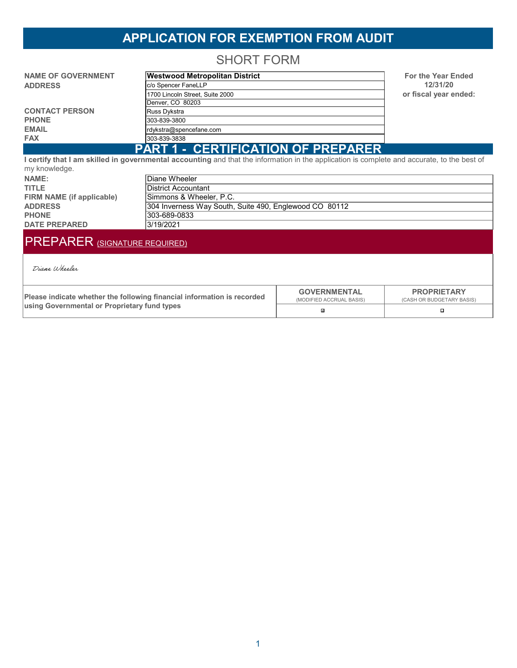## **APPLICATION FOR EXEMPTION FROM AUDIT**

SHORT FORM

| <b>NAME OF GOVERNMENT</b> | <b>Westwood Metropolitan District</b>     | <b>For the Year Ended</b> |
|---------------------------|-------------------------------------------|---------------------------|
| <b>ADDRESS</b>            | c/o Spencer FaneLLP                       | 12/31/20                  |
|                           | 1700 Lincoln Street, Suite 2000           | or fiscal year ended:     |
|                           | Denver, CO 80203                          |                           |
| <b>CONTACT PERSON</b>     | Russ Dykstra                              |                           |
| <b>PHONE</b>              | 303-839-3800                              |                           |
| <b>EMAIL</b>              | rdykstra@spencefane.com                   |                           |
| <b>FAX</b>                | 303-839-3838                              |                           |
|                           | <b>PART 1 - CERTIFICATION OF PREPARER</b> |                           |

**I certify that I am skilled in governmental accounting** and that the information in the application is complete and accurate, to the best of my knowledge.

| NAME:                     | Diane Wheeler                                          |
|---------------------------|--------------------------------------------------------|
| <b>TITLE</b>              | lDistrict Accountant_                                  |
| FIRM NAME (if applicable) | Simmons & Wheeler, P.C.                                |
| <b>ADDRESS</b>            | 304 Inverness Way South, Suite 490, Englewood CO 80112 |
| <b>PHONE</b>              | 303-689-0833                                           |
| <b>DATE PREPARED</b>      | 3/19/2021                                              |
|                           |                                                        |

# PREPARER (SIGNATURE REQUIRED)

Diane Wheeler

| Please indicate whether the following financial information is recorded | <b>GOVERNMENTAL</b><br>(MODIFIED ACCRUAL BASIS) | <b>PROPRIETARY</b><br>(CASH OR BUDGETARY BASIS) |
|-------------------------------------------------------------------------|-------------------------------------------------|-------------------------------------------------|
| <b>Lusing Governmental or Proprietary fund types</b>                    | IJ.                                             |                                                 |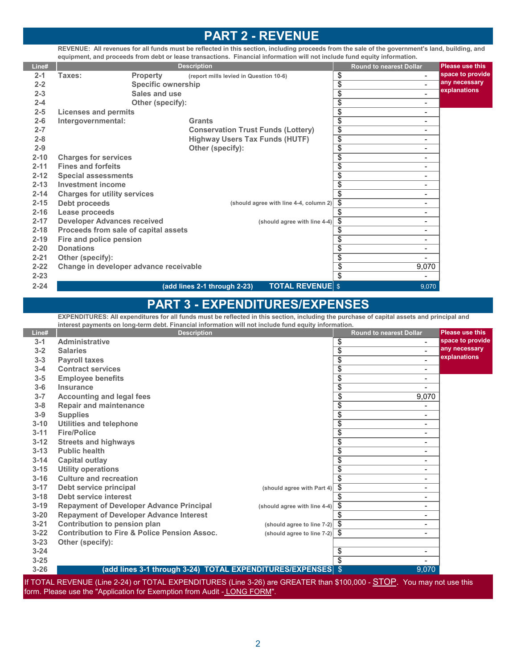### **PART 2 - REVENUE**

**REVENUE: All revenues for all funds must be reflected in this section, including proceeds from the sale of the government's land, building, and equipment, and proceeds from debt or lease transactions. Financial information will not include fund equity information.**

| Line#    |                                        |                           | <b>Description</b>                                      | <b>Round to nearest Dollar</b>              | <b>Please use this</b> |
|----------|----------------------------------------|---------------------------|---------------------------------------------------------|---------------------------------------------|------------------------|
| $2 - 1$  | Taxes:                                 | <b>Property</b>           | (report mills levied in Question 10-6)                  | \$<br>$\blacksquare$                        | space to provide       |
| $2 - 2$  |                                        | <b>Specific ownership</b> |                                                         | \$<br>$\blacksquare$                        | any necessary          |
| $2 - 3$  |                                        | Sales and use             |                                                         | \$<br>$\blacksquare$                        | explanations           |
| $2 - 4$  |                                        | Other (specify):          |                                                         | \$<br>$\blacksquare$                        |                        |
| $2 - 5$  | <b>Licenses and permits</b>            |                           |                                                         | \$<br>$\overline{\phantom{a}}$              |                        |
| $2 - 6$  | Intergovernmental:                     |                           | <b>Grants</b>                                           | \$<br>$\overline{\phantom{a}}$              |                        |
| $2 - 7$  |                                        |                           | <b>Conservation Trust Funds (Lottery)</b>               | $\overline{\$}$<br>$\overline{\phantom{a}}$ |                        |
| $2 - 8$  |                                        |                           | <b>Highway Users Tax Funds (HUTF)</b>                   | $\overline{\$}$<br>$\overline{\phantom{0}}$ |                        |
| $2 - 9$  |                                        |                           | Other (specify):                                        | \$<br>$\overline{\phantom{0}}$              |                        |
| $2 - 10$ | <b>Charges for services</b>            |                           |                                                         | \$<br>$\qquad \qquad \blacksquare$          |                        |
| $2 - 11$ | <b>Fines and forfeits</b>              |                           |                                                         | \$<br>$\overline{\phantom{a}}$              |                        |
| $2 - 12$ | <b>Special assessments</b>             |                           |                                                         | $\overline{\$}$<br>$\overline{\phantom{0}}$ |                        |
| $2 - 13$ | <b>Investment income</b>               |                           |                                                         | \$<br>$\blacksquare$                        |                        |
| $2 - 14$ | <b>Charges for utility services</b>    |                           |                                                         | \$<br>$\blacksquare$                        |                        |
| $2 - 15$ | Debt proceeds                          |                           | (should agree with line 4-4, column 2)                  | \$<br>$\overline{\phantom{a}}$              |                        |
| $2 - 16$ | Lease proceeds                         |                           |                                                         | \$<br>$\overline{\phantom{a}}$              |                        |
| $2 - 17$ | <b>Developer Advances received</b>     |                           | (should agree with line 4-4)                            | \$<br>$\overline{\phantom{a}}$              |                        |
| $2 - 18$ | Proceeds from sale of capital assets   |                           |                                                         | \$<br>$\overline{\phantom{a}}$              |                        |
| $2 - 19$ | Fire and police pension                |                           |                                                         | \$<br>$\overline{\phantom{a}}$              |                        |
| $2 - 20$ | <b>Donations</b>                       |                           |                                                         | \$<br>$\overline{\phantom{a}}$              |                        |
| $2 - 21$ | Other (specify):                       |                           |                                                         | \$<br>$\blacksquare$                        |                        |
| $2 - 22$ | Change in developer advance receivable |                           |                                                         | $\overline{\$}$<br>9,070                    |                        |
| $2 - 23$ |                                        |                           |                                                         | \$<br>$\overline{\phantom{a}}$              |                        |
| $2 - 24$ |                                        |                           | <b>TOTAL REVENUE \$</b><br>(add lines 2-1 through 2-23) | 9,070                                       |                        |

### **PART 3 - EXPENDITURES/EXPENSES**

**EXPENDITURES: All expenditures for all funds must be reflected in this section, including the purchase of capital assets and principal and interest payments on long-term debt. Financial information will not include fund equity information.**

| Line#    | <b>Description</b>                                                                                                     |                                             | <b>Round to nearest Dollar</b>     | <b>Please use this</b> |
|----------|------------------------------------------------------------------------------------------------------------------------|---------------------------------------------|------------------------------------|------------------------|
| $3 - 1$  | <b>Administrative</b>                                                                                                  |                                             | \$<br>$\blacksquare$               | space to provide       |
| $3 - 2$  | <b>Salaries</b>                                                                                                        |                                             | \$                                 | any necessary          |
| $3 - 3$  | <b>Payroll taxes</b>                                                                                                   |                                             | \$                                 | explanations           |
| $3 - 4$  | <b>Contract services</b>                                                                                               |                                             | \$<br>$\overline{\phantom{0}}$     |                        |
| $3 - 5$  | <b>Employee benefits</b>                                                                                               |                                             | \$<br>$\overline{\phantom{0}}$     |                        |
| $3-6$    | Insurance                                                                                                              |                                             | \$                                 |                        |
| $3 - 7$  | <b>Accounting and legal fees</b>                                                                                       |                                             | \$<br>9,070                        |                        |
| $3 - 8$  | <b>Repair and maintenance</b>                                                                                          |                                             | \$                                 |                        |
| $3-9$    | <b>Supplies</b>                                                                                                        |                                             | \$<br>$\overline{\phantom{0}}$     |                        |
| $3 - 10$ | <b>Utilities and telephone</b>                                                                                         |                                             | \$<br>$\blacksquare$               |                        |
| $3 - 11$ | <b>Fire/Police</b>                                                                                                     |                                             | \$<br>$\qquad \qquad \blacksquare$ |                        |
| $3 - 12$ | <b>Streets and highways</b>                                                                                            |                                             | \$<br>$\overline{\phantom{0}}$     |                        |
| $3 - 13$ | <b>Public health</b>                                                                                                   |                                             | \$<br>$\qquad \qquad \blacksquare$ |                        |
| $3 - 14$ | Capital outlay                                                                                                         |                                             | \$<br>$\overline{\phantom{0}}$     |                        |
| $3 - 15$ | <b>Utility operations</b>                                                                                              |                                             | \$<br>-                            |                        |
| $3 - 16$ | <b>Culture and recreation</b>                                                                                          |                                             | \$<br>$\blacksquare$               |                        |
| $3 - 17$ | Debt service principal                                                                                                 | (should agree with Part 4)                  | \$<br>$\overline{\phantom{0}}$     |                        |
| $3 - 18$ | Debt service interest                                                                                                  |                                             | \$<br>$\qquad \qquad \blacksquare$ |                        |
| $3 - 19$ | <b>Repayment of Developer Advance Principal</b>                                                                        | (should agree with line 4-4)                | -\$<br>$\overline{\phantom{0}}$    |                        |
| $3 - 20$ | <b>Repayment of Developer Advance Interest</b>                                                                         |                                             | \$<br>٠                            |                        |
| $3 - 21$ | Contribution to pension plan                                                                                           | (should agree to line $7-2$ ) $\frac{6}{3}$ | $\overline{\phantom{0}}$           |                        |
| $3 - 22$ | <b>Contribution to Fire &amp; Police Pension Assoc.</b>                                                                | (should agree to line $7-2$ ) $\frac{6}{3}$ | $\qquad \qquad \blacksquare$       |                        |
| $3 - 23$ | Other (specify):                                                                                                       |                                             |                                    |                        |
| $3 - 24$ |                                                                                                                        |                                             | \$<br>$\overline{\phantom{0}}$     |                        |
| $3 - 25$ |                                                                                                                        |                                             | \$                                 |                        |
| $3 - 26$ | (add lines 3-1 through 3-24)  TOTAL EXPENDITURES/EXPENSES $ \$$                                                        |                                             | 9,070                              |                        |
|          | If TOTAL REVENUE (Line 2-24) or TOTAL EXPENDITURES (Line 3-26) are GREATER than \$100,000 - STOP. You may not use this |                                             |                                    |                        |

form. Please use the "Application for Exemption from Audit - LONG FORM"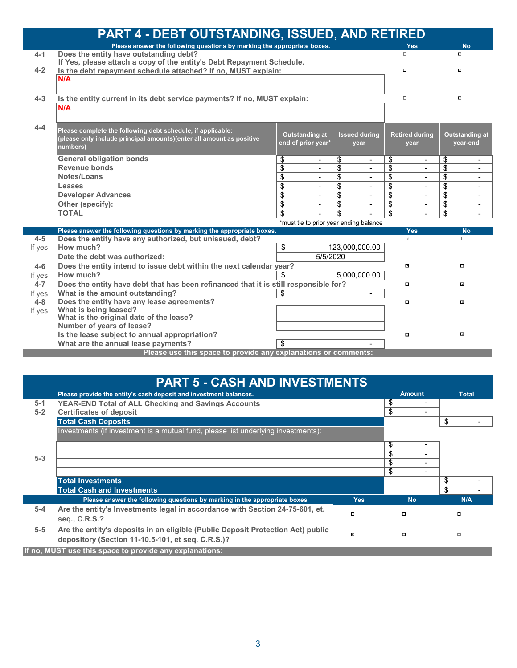|         | <b>PART 4 - DEBT OUTSTANDING, ISSUED, AND RETIRED</b>                                |                 |                                        |                 |                          |                     |                       |                     |                              |
|---------|--------------------------------------------------------------------------------------|-----------------|----------------------------------------|-----------------|--------------------------|---------------------|-----------------------|---------------------|------------------------------|
|         | Please answer the following questions by marking the appropriate boxes.              |                 |                                        |                 |                          |                     | <b>Yes</b>            |                     | <b>No</b>                    |
| $4 - 1$ | Does the entity have outstanding debt?                                               |                 |                                        |                 |                          | $\Box$              |                       | $\overline{\omega}$ |                              |
|         | If Yes, please attach a copy of the entity's Debt Repayment Schedule.                |                 |                                        |                 |                          |                     |                       |                     |                              |
| $4 - 2$ | Is the debt repayment schedule attached? If no, MUST explain:                        |                 |                                        |                 |                          | $\Box$              |                       | ⊡                   |                              |
|         | N/A                                                                                  |                 |                                        |                 |                          |                     |                       |                     |                              |
|         |                                                                                      |                 |                                        |                 |                          |                     |                       |                     |                              |
| $4 - 3$ | Is the entity current in its debt service payments? If no, MUST explain:             |                 |                                        |                 |                          | $\Box$              |                       | ⊡                   |                              |
|         | N/A                                                                                  |                 |                                        |                 |                          |                     |                       |                     |                              |
|         |                                                                                      |                 |                                        |                 |                          |                     |                       |                     |                              |
| $4 - 4$ | Please complete the following debt schedule, if applicable:                          |                 |                                        |                 |                          |                     |                       |                     |                              |
|         | (please only include principal amounts)(enter all amount as positive                 |                 | <b>Outstanding at</b>                  |                 | <b>Issued during</b>     |                     | <b>Retired during</b> |                     | <b>Outstanding at</b>        |
|         | numbers)                                                                             |                 | end of prior year*                     |                 | year                     |                     | year                  |                     | year-end                     |
|         | <b>General obligation bonds</b>                                                      | \$              | $\blacksquare$                         | \$              | $\blacksquare$           | \$                  | $\blacksquare$        | \$                  | $\overline{\phantom{a}}$     |
|         | <b>Revenue bonds</b>                                                                 | \$              | $\blacksquare$                         | \$              | $\blacksquare$           | \$                  | $\blacksquare$        | \$                  | $\qquad \qquad \blacksquare$ |
|         | Notes/Loans                                                                          | \$              | $\blacksquare$                         | \$              | $\blacksquare$           | \$                  | $\blacksquare$        | \$                  | $\qquad \qquad \blacksquare$ |
|         | Leases                                                                               | \$              | $\blacksquare$                         | \$              | $\blacksquare$           | \$                  | $\blacksquare$        | \$                  | $\blacksquare$               |
|         | <b>Developer Advances</b>                                                            | $\overline{\$}$ | $\blacksquare$                         | $\overline{\$}$ | $\blacksquare$           | \$                  | $\blacksquare$        | \$                  | $\blacksquare$               |
|         | Other (specify):                                                                     | \$              | $\overline{\phantom{0}}$               | \$              | $\overline{\phantom{0}}$ | \$                  | $\blacksquare$        | \$                  | $\overline{\phantom{a}}$     |
|         | <b>TOTAL</b>                                                                         | \$              |                                        | \$              |                          | \$                  | $\overline{a}$        | \$                  | $\blacksquare$               |
|         |                                                                                      |                 | *must tie to prior year ending balance |                 |                          |                     |                       |                     |                              |
|         | Please answer the following questions by marking the appropriate boxes.              |                 |                                        |                 |                          |                     | Yes                   |                     | <b>No</b>                    |
| $4 - 5$ | Does the entity have any authorized, but unissued, debt?                             |                 |                                        |                 |                          | $\blacksquare$      |                       |                     | $\Box$                       |
| If yes: | How much?                                                                            | \$              |                                        |                 | 123,000,000.00           |                     |                       |                     |                              |
|         | Date the debt was authorized:                                                        |                 | 5/5/2020                               |                 |                          |                     |                       |                     |                              |
| $4 - 6$ | Does the entity intend to issue debt within the next calendar year?                  |                 |                                        |                 |                          | $\overline{\omega}$ |                       |                     | $\Box$                       |
| If yes: | How much?                                                                            | S               |                                        |                 | 5,000,000.00             |                     |                       |                     |                              |
| $4 - 7$ | Does the entity have debt that has been refinanced that it is still responsible for? |                 |                                        |                 |                          | $\Box$              |                       |                     | $\overline{\mathcal{L}}$     |
| If yes: | What is the amount outstanding?                                                      | \$              |                                        |                 | $\blacksquare$           |                     |                       |                     |                              |
| $4 - 8$ | Does the entity have any lease agreements?<br>What is being leased?                  |                 |                                        |                 |                          | $\Box$              |                       |                     | ø                            |
| If yes: | What is the original date of the lease?                                              |                 |                                        |                 |                          |                     |                       |                     |                              |
|         | Number of years of lease?                                                            |                 |                                        |                 |                          |                     |                       |                     |                              |
|         | Is the lease subject to annual appropriation?                                        |                 |                                        |                 |                          | $\Box$              |                       |                     | $\overline{\omega}$          |
|         | What are the annual lease payments?                                                  | \$              |                                        |                 |                          |                     |                       |                     |                              |
|         | Please use this space to provide any explanations or comments:                       |                 |                                        |                 |                          |                     |                       |                     |                              |
|         |                                                                                      |                 |                                        |                 |                          |                     |                       |                     |                              |

|         | <b>PART 5 - CASH AND INVESTMENTS</b>                                                                                                 |                     |    |                          |    |              |
|---------|--------------------------------------------------------------------------------------------------------------------------------------|---------------------|----|--------------------------|----|--------------|
|         | Please provide the entity's cash deposit and investment balances.                                                                    |                     |    | <b>Amount</b>            |    | <b>Total</b> |
| $5-1$   | <b>YEAR-END Total of ALL Checking and Savings Accounts</b>                                                                           |                     | \$ |                          |    |              |
| $5 - 2$ | <b>Certificates of deposit</b>                                                                                                       |                     | \$ |                          |    |              |
|         | <b>Total Cash Deposits</b>                                                                                                           |                     |    |                          | \$ |              |
|         | Investments (if investment is a mutual fund, please list underlying investments):                                                    |                     |    |                          |    |              |
|         |                                                                                                                                      |                     | S  | $\overline{\phantom{0}}$ |    |              |
| $5 - 3$ |                                                                                                                                      |                     | \$ |                          |    |              |
|         |                                                                                                                                      |                     | \$ |                          |    |              |
|         |                                                                                                                                      |                     | \$ | -                        |    |              |
|         | <b>Total Investments</b>                                                                                                             |                     |    |                          | S  |              |
|         | <b>Total Cash and Investments</b>                                                                                                    |                     |    |                          | \$ |              |
|         | Please answer the following questions by marking in the appropriate boxes                                                            | <b>Yes</b>          |    | <b>No</b>                |    | N/A          |
| $5-4$   | Are the entity's Investments legal in accordance with Section 24-75-601, et.<br>seq., C.R.S.?                                        | $\overline{\omega}$ |    | α                        |    | $\Box$       |
| $5-5$   | Are the entity's deposits in an eligible (Public Deposit Protection Act) public<br>depository (Section 11-10.5-101, et seq. C.R.S.)? | ⊡                   |    | $\Box$                   |    | $\Box$       |
|         | If no, MUST use this space to provide any explanations:                                                                              |                     |    |                          |    |              |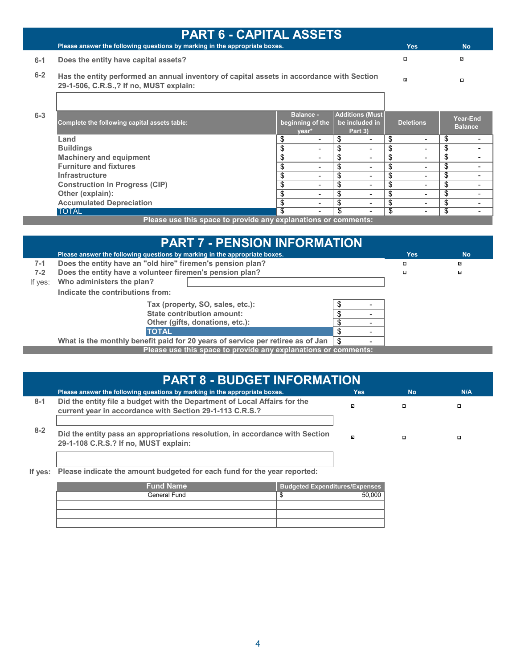|         | <b>PART 6 - CAPITAL ASSETS</b>                                                                                                       |                                               |  |    |                                                      |     |                              |                            |
|---------|--------------------------------------------------------------------------------------------------------------------------------------|-----------------------------------------------|--|----|------------------------------------------------------|-----|------------------------------|----------------------------|
|         | Please answer the following questions by marking in the appropriate boxes.                                                           |                                               |  |    |                                                      |     | <b>Yes</b>                   | <b>No</b>                  |
| $6-1$   | Does the entity have capital assets?                                                                                                 |                                               |  |    |                                                      |     | $\Box$                       | ⊡                          |
| $6 - 2$ | Has the entity performed an annual inventory of capital assets in accordance with Section<br>29-1-506, C.R.S.,? If no, MUST explain: |                                               |  |    |                                                      |     | ø                            | $\Box$                     |
| $6 - 3$ | Complete the following capital assets table:                                                                                         | <b>Balance -</b><br>beginning of the<br>year* |  |    | <b>Additions (Must)</b><br>be included in<br>Part 3) |     | <b>Deletions</b>             | Year-End<br><b>Balance</b> |
|         | Land                                                                                                                                 | \$                                            |  | \$ |                                                      | \$  | $\blacksquare$               | \$                         |
|         | <b>Buildings</b>                                                                                                                     | \$                                            |  | \$ |                                                      | \$  | -                            | \$                         |
|         | <b>Machinery and equipment</b>                                                                                                       | \$                                            |  | \$ | ۰                                                    | \$  | $\overline{\phantom{0}}$     | \$                         |
|         | <b>Furniture and fixtures</b>                                                                                                        | \$                                            |  | \$ |                                                      | \$  | $\qquad \qquad \blacksquare$ | \$                         |
|         | <b>Infrastructure</b>                                                                                                                | \$                                            |  | \$ |                                                      | \$  | $\overline{\phantom{0}}$     | \$                         |
|         | <b>Construction In Progress (CIP)</b>                                                                                                | \$                                            |  | \$ |                                                      | \$  | $\overline{\phantom{0}}$     | \$                         |
|         | Other (explain):                                                                                                                     | \$                                            |  | \$ | $\overline{\phantom{0}}$                             | \$  | $\overline{\phantom{0}}$     | \$                         |
|         | <b>Accumulated Depreciation</b>                                                                                                      | \$                                            |  | \$ | ۰                                                    | \$  | $\overline{\phantom{0}}$     | \$                         |
|         | <b>TOTAL</b>                                                                                                                         | \$                                            |  | ॱৼ | ۰                                                    | -\$ | $\overline{\phantom{0}}$     | \$                         |
|         | Please use this space to provide any explanations or comments:                                                                       |                                               |  |    |                                                      |     |                              |                            |

|         | <b>PART 7 - PENSION INFORMATION</b>                                                                            |               |            |           |
|---------|----------------------------------------------------------------------------------------------------------------|---------------|------------|-----------|
|         | Please answer the following questions by marking in the appropriate boxes.                                     |               | <b>Yes</b> | <b>No</b> |
| $7-1$   | Does the entity have an "old hire" firemen's pension plan?                                                     |               | $\Box$     | ⊡         |
| $7 - 2$ | Does the entity have a volunteer firemen's pension plan?                                                       |               | o          | ⊡         |
| If yes: | Who administers the plan?                                                                                      |               |            |           |
|         | Indicate the contributions from:                                                                               |               |            |           |
|         | Tax (property, SO, sales, etc.):                                                                               |               |            |           |
|         | <b>State contribution amount:</b>                                                                              |               |            |           |
|         | Other (gifts, donations, etc.):                                                                                |               |            |           |
|         | <b>TOTAL</b>                                                                                                   | \$            |            |           |
|         | AARLIK to klassica and later last and the contribution of the contract contribution of the contribution of the | $\rightarrow$ |            |           |

\$ - **Please use this space to provide any explanations or comments: What is the monthly benefit paid for 20 years of service per retiree as of Jan** 

| <b>PART 8 - BUDGET INFORMATION</b> |                                                                                                                                       |     |           |     |  |  |  |
|------------------------------------|---------------------------------------------------------------------------------------------------------------------------------------|-----|-----------|-----|--|--|--|
|                                    | Please answer the following questions by marking in the appropriate boxes.                                                            | Yes | <b>No</b> | N/A |  |  |  |
| $8 - 1$                            | Did the entity file a budget with the Department of Local Affairs for the<br>current year in accordance with Section 29-1-113 C.R.S.? | ⊡   | □         | о   |  |  |  |
| $8 - 2$                            | Did the entity pass an appropriations resolution, in accordance with Section<br>29-1-108 C.R.S.? If no, MUST explain:                 | 図   | $\Box$    | □   |  |  |  |

**If yes: Please indicate the amount budgeted for each fund for the year reported:**

| <b>Fund Name</b> | <b>Budgeted Expenditures/Expenses</b> |        |
|------------------|---------------------------------------|--------|
| General Fund     |                                       | 50.000 |
|                  |                                       |        |
|                  |                                       |        |
|                  |                                       |        |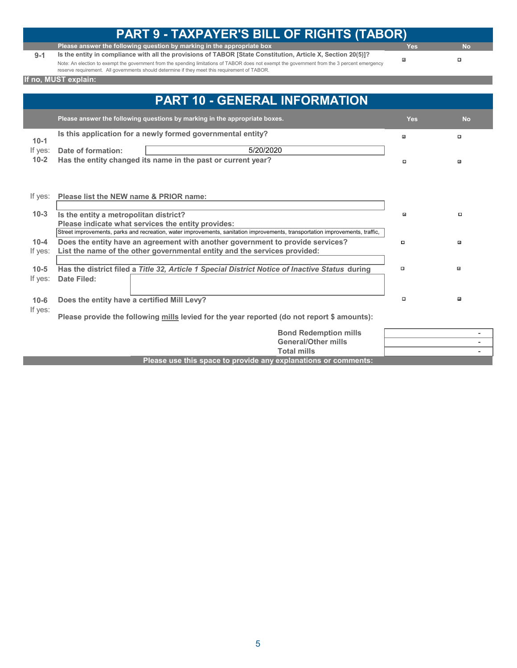|          | <b>PART 9 - TAXPAYER'S BILL OF RIGHTS (TABOR)</b>                                                                                                                                                                                              |                     |                          |
|----------|------------------------------------------------------------------------------------------------------------------------------------------------------------------------------------------------------------------------------------------------|---------------------|--------------------------|
|          | Please answer the following question by marking in the appropriate box                                                                                                                                                                         | <b>Yes</b>          | <b>No</b>                |
| $9 - 1$  | Is the entity in compliance with all the provisions of TABOR [State Constitution, Article X, Section 20(5)]?                                                                                                                                   |                     | $\Box$                   |
|          | Note: An election to exempt the government from the spending limitations of TABOR does not exempt the government from the 3 percent emergency<br>reserve requirement. All governments should determine if they meet this requirement of TABOR. | $\overline{\omega}$ |                          |
|          | If no, MUST explain:                                                                                                                                                                                                                           |                     |                          |
|          |                                                                                                                                                                                                                                                |                     |                          |
|          | <b>PART 10 - GENERAL INFORMATION</b>                                                                                                                                                                                                           |                     |                          |
|          | Please answer the following questions by marking in the appropriate boxes.                                                                                                                                                                     | <b>Yes</b>          | <b>No</b>                |
| $10 - 1$ | Is this application for a newly formed governmental entity?                                                                                                                                                                                    | $\overline{\omega}$ | $\Box$                   |
| If yes:  | 5/20/2020<br>Date of formation:                                                                                                                                                                                                                |                     |                          |
| $10 - 2$ | Has the entity changed its name in the past or current year?                                                                                                                                                                                   | $\Box$              | $\overline{\omega}$      |
|          |                                                                                                                                                                                                                                                |                     |                          |
| If yes:  | Please list the NEW name & PRIOR name:                                                                                                                                                                                                         |                     |                          |
|          |                                                                                                                                                                                                                                                |                     |                          |
| $10-3$   | Is the entity a metropolitan district?                                                                                                                                                                                                         | Ŀ                   | о                        |
|          | Please indicate what services the entity provides:                                                                                                                                                                                             |                     |                          |
|          | Street improvements, parks and recreation, water improvements, sanitation improvements, transportation improvements, traffic,                                                                                                                  |                     |                          |
| $10 - 4$ | Does the entity have an agreement with another government to provide services?                                                                                                                                                                 | $\Box$              | $\overline{\phantom{a}}$ |
| If yes:  | List the name of the other governmental entity and the services provided:                                                                                                                                                                      |                     |                          |
|          |                                                                                                                                                                                                                                                |                     |                          |
| $10 - 5$ | Has the district filed a Title 32, Article 1 Special District Notice of Inactive Status during                                                                                                                                                 | $\Box$              | $\overline{\omega}$      |
| If yes:  | <b>Date Filed:</b>                                                                                                                                                                                                                             |                     |                          |
|          |                                                                                                                                                                                                                                                |                     |                          |
| $10 - 6$ | Does the entity have a certified Mill Levy?                                                                                                                                                                                                    | $\Box$              | $\overline{\omega}$      |
| If yes:  | Please provide the following mills levied for the year reported (do not report \$ amounts):                                                                                                                                                    |                     |                          |
|          | <b>Bond Redemption mills</b>                                                                                                                                                                                                                   |                     |                          |
|          | <b>General/Other mills</b>                                                                                                                                                                                                                     |                     | $\overline{\phantom{a}}$ |
|          | <b>Total mills</b>                                                                                                                                                                                                                             |                     |                          |

**Please use this space to provide any explanations or comments:**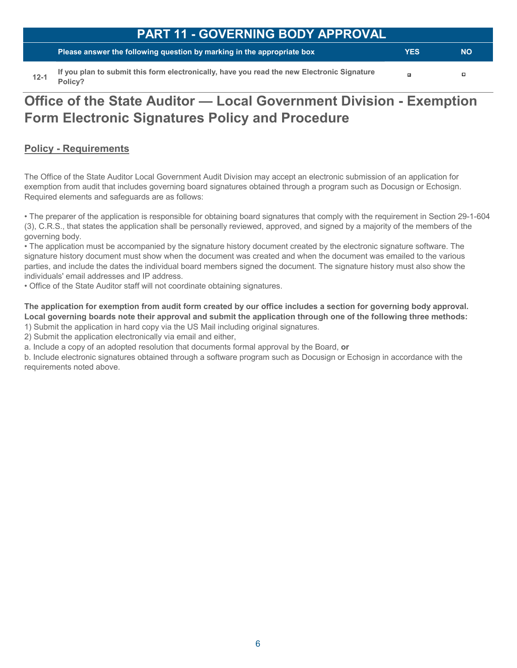**Please answer the following question by marking in the appropriate box**

**YES NO**

 $\mathbf{a}$ 

 $\Box$ 

**12-1 If you plan to submit this form electronically, have you read the new Electronic Signature Policy?**

# **Office of the State Auditor — Local Government Division - Exemption Form Electronic Signatures Policy and Procedure**

#### **Policy - Requirements**

The Office of the State Auditor Local Government Audit Division may accept an electronic submission of an application for exemption from audit that includes governing board signatures obtained through a program such as Docusign or Echosign. Required elements and safeguards are as follows:

• The preparer of the application is responsible for obtaining board signatures that comply with the requirement in Section 29-1-604 (3), C.R.S., that states the application shall be personally reviewed, approved, and signed by a majority of the members of the governing body.

• The application must be accompanied by the signature history document created by the electronic signature software. The signature history document must show when the document was created and when the document was emailed to the various parties, and include the dates the individual board members signed the document. The signature history must also show the individuals' email addresses and IP address.

• Office of the State Auditor staff will not coordinate obtaining signatures.

**The application for exemption from audit form created by our office includes a section for governing body approval. Local governing boards note their approval and submit the application through one of the following three methods:** 

1) Submit the application in hard copy via the US Mail including original signatures.

2) Submit the application electronically via email and either,

a. Include a copy of an adopted resolution that documents formal approval by the Board, **or**

b. Include electronic signatures obtained through a software program such as Docusign or Echosign in accordance with the requirements noted above.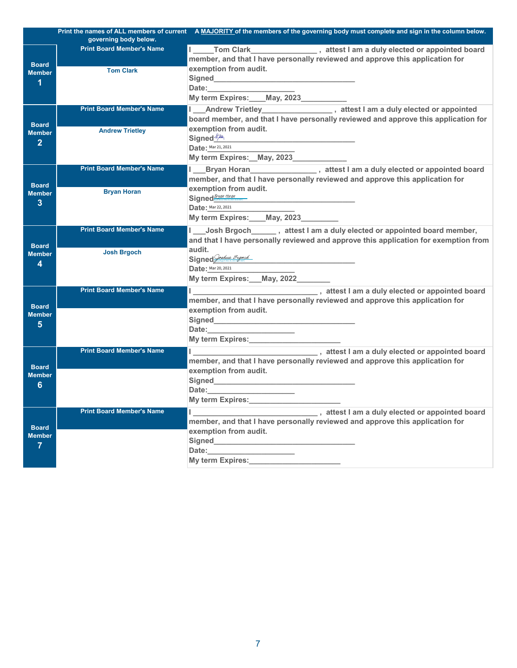|                                                 |                                  | Print the names of ALL members of current A MAJORITY of the members of the governing body must complete and sign in the column below. |
|-------------------------------------------------|----------------------------------|---------------------------------------------------------------------------------------------------------------------------------------|
|                                                 | governing body below.            |                                                                                                                                       |
|                                                 | <b>Print Board Member's Name</b> |                                                                                                                                       |
|                                                 |                                  | member, and that I have personally reviewed and approve this application for                                                          |
| <b>Board</b>                                    | <b>Tom Clark</b>                 | exemption from audit.                                                                                                                 |
| <b>Member</b>                                   |                                  |                                                                                                                                       |
| 1                                               |                                  | Date: <b>Example</b>                                                                                                                  |
|                                                 |                                  | My term Expires: ____ May, 2023___________                                                                                            |
| <b>Board</b><br><b>Member</b><br>$\overline{2}$ | <b>Print Board Member's Name</b> | I ___ Andrew Trietley ____________________, attest I am a duly elected or appointed                                                   |
|                                                 |                                  | board member, and that I have personally reviewed and approve this application for                                                    |
|                                                 |                                  | exemption from audit.                                                                                                                 |
|                                                 | <b>Andrew Trietley</b>           | Signed <sup>2/4</sup>                                                                                                                 |
|                                                 |                                  | <b>Date: Mar 21, 2021</b>                                                                                                             |
|                                                 |                                  |                                                                                                                                       |
|                                                 |                                  | My term Expires: __ May, 2023_______________                                                                                          |
| <b>Board</b><br><b>Member</b><br>3              | <b>Print Board Member's Name</b> | Bryan Horan Marian Marian Marian Street I am a duly elected or appointed board<br>L.                                                  |
|                                                 |                                  | member, and that I have personally reviewed and approve this application for                                                          |
|                                                 | <b>Bryan Horan</b>               | exemption from audit.                                                                                                                 |
|                                                 |                                  | Signed <b>Sygn Horan</b>                                                                                                              |
|                                                 |                                  | <b>Date: Mar 22, 2021</b>                                                                                                             |
|                                                 |                                  | My term Expires: May, 2023                                                                                                            |
| <b>Board</b>                                    | <b>Print Board Member's Name</b> | I Josh Brgoch _______, attest I am a duly elected or appointed board member,                                                          |
|                                                 |                                  | and that I have personally reviewed and approve this application for exemption from                                                   |
|                                                 | <b>Josh Brgoch</b>               | audit.                                                                                                                                |
| <b>Member</b><br>4                              |                                  |                                                                                                                                       |
|                                                 |                                  | Signed Quelus <i>Brack</i><br>Date: Mar <sup>20,2021</sup>                                                                            |
|                                                 |                                  | My term Expires: __ May, 2022_                                                                                                        |
|                                                 | <b>Print Board Member's Name</b> |                                                                                                                                       |
|                                                 |                                  | member, and that I have personally reviewed and approve this application for                                                          |
| <b>Board</b>                                    |                                  | exemption from audit.                                                                                                                 |
| <b>Member</b><br>5                              |                                  |                                                                                                                                       |
|                                                 |                                  | Date: 2008 2010 2021 2022 2023 2024 2022 2023 2024 2022 2023 2024 2022 2023 2024 2022 2023 2024 2025 2026 2027                        |
|                                                 |                                  |                                                                                                                                       |
|                                                 | <b>Print Board Member's Name</b> |                                                                                                                                       |
| <b>Board</b><br><b>Member</b>                   |                                  | member, and that I have personally reviewed and approve this application for                                                          |
|                                                 |                                  | exemption from audit.                                                                                                                 |
|                                                 |                                  |                                                                                                                                       |
| 6                                               |                                  | Date:___________                                                                                                                      |
|                                                 |                                  |                                                                                                                                       |
|                                                 |                                  | My term Expires:<br>My term Expires:                                                                                                  |
| <b>Board</b><br><b>Member</b><br>$\overline{7}$ | <b>Print Board Member's Name</b> | l __________________________________,attest I am a duly elected or appointed board                                                    |
|                                                 |                                  | member, and that I have personally reviewed and approve this application for                                                          |
|                                                 |                                  | exemption from audit.                                                                                                                 |
|                                                 |                                  | Signed <b>Signed Signed Signed Signed Signed</b>                                                                                      |
|                                                 |                                  | Date:                                                                                                                                 |
|                                                 |                                  | My term Expires:                                                                                                                      |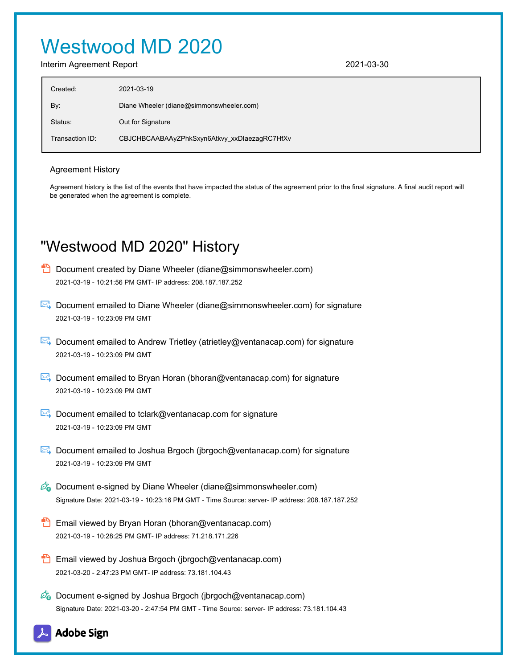# Westwood MD 2020

Interim Agreement Report 2021-03-30

| Created:        | 2021-03-19                                   |
|-----------------|----------------------------------------------|
| By:             | Diane Wheeler (diane@simmonswheeler.com)     |
| Status:         | Out for Signature                            |
| Transaction ID: | CBJCHBCAABAAyZPhkSxyn6Atkvy_xxDlaezagRC7HfXv |

#### Agreement History

Agreement history is the list of the events that have impacted the status of the agreement prior to the final signature. A final audit report will be generated when the agreement is complete.

# "Westwood MD 2020" History

- **D** Document created by Diane Wheeler (diane@simmonswheeler.com) 2021-03-19 - 10:21:56 PM GMT- IP address: 208.187.187.252
- Document emailed to Diane Wheeler (diane@simmonswheeler.com) for signature 2021-03-19 - 10:23:09 PM GMT
- Document emailed to Andrew Trietley (atrietley@ventanacap.com) for signature 2021-03-19 - 10:23:09 PM GMT
- **E**. Document emailed to Bryan Horan (bhoran@ventanacap.com) for signature 2021-03-19 - 10:23:09 PM GMT
- Document emailed to tclark@ventanacap.com for signature 2021-03-19 - 10:23:09 PM GMT
- **E** Document emailed to Joshua Brgoch (jbrgoch@ventanacap.com) for signature 2021-03-19 - 10:23:09 PM GMT
- $\mathscr{O}_\mathbf{G}$  Document e-signed by Diane Wheeler (diane@simmonswheeler.com) Signature Date: 2021-03-19 - 10:23:16 PM GMT - Time Source: server- IP address: 208.187.187.252
- **Email viewed by Bryan Horan (bhoran@ventanacap.com)** 2021-03-19 - 10:28:25 PM GMT- IP address: 71.218.171.226
- **Email viewed by Joshua Brgoch (jbrgoch@ventanacap.com)** 2021-03-20 - 2:47:23 PM GMT- IP address: 73.181.104.43
- $\mathscr{D}_{\bullet}$  Document e-signed by Joshua Brgoch (jbrgoch@ventanacap.com) Signature Date: 2021-03-20 - 2:47:54 PM GMT - Time Source: server- IP address: 73.181.104.43

**Adobe Sign**